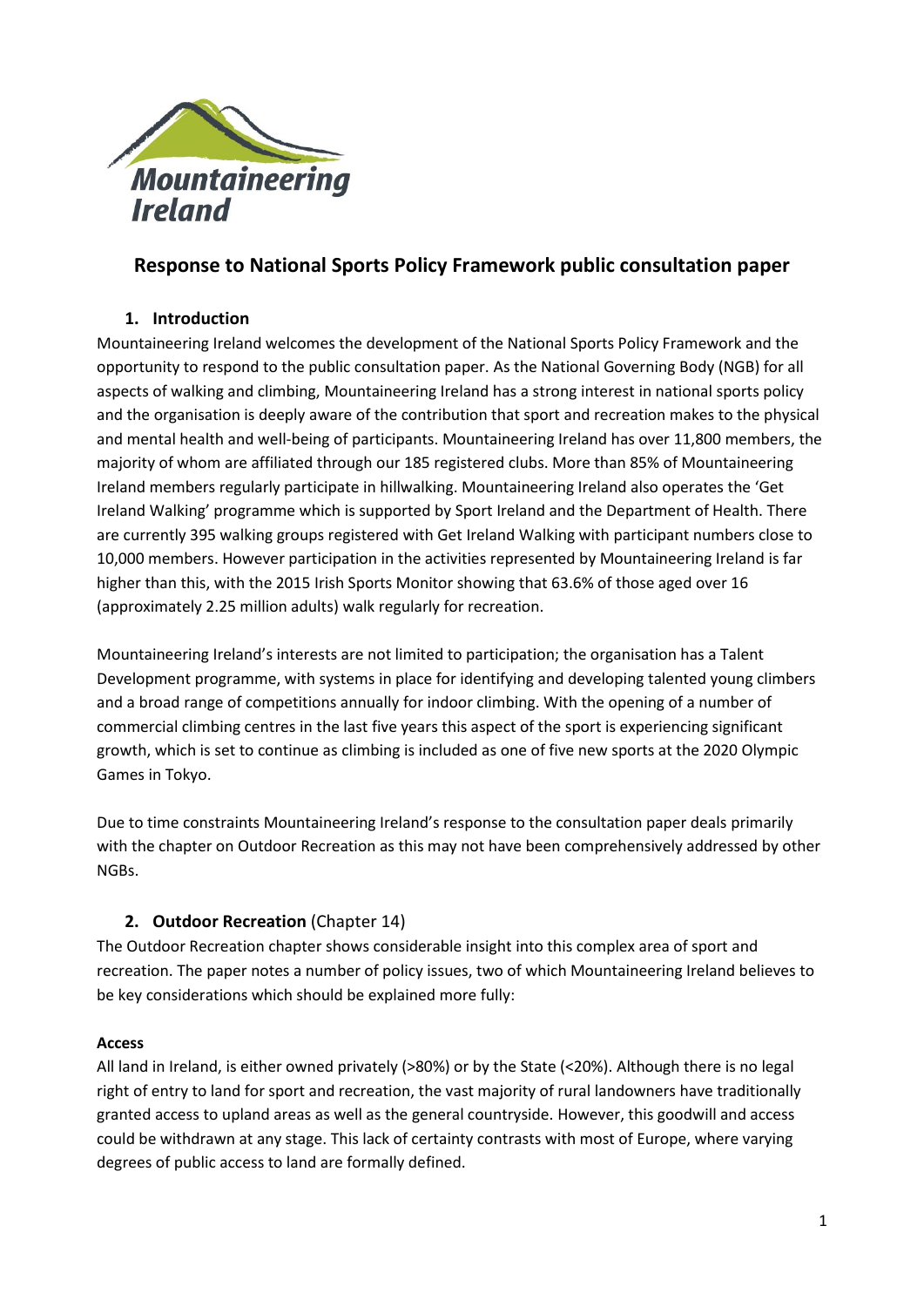

# **Response to National Sports Policy Framework public consultation paper**

#### **1. Introduction**

Mountaineering Ireland welcomes the development of the National Sports Policy Framework and the opportunity to respond to the public consultation paper. As the National Governing Body (NGB) for all aspects of walking and climbing, Mountaineering Ireland has a strong interest in national sports policy and the organisation is deeply aware of the contribution that sport and recreation makes to the physical and mental health and well-being of participants. Mountaineering Ireland has over 11,800 members, the majority of whom are affiliated through our 185 registered clubs. More than 85% of Mountaineering Ireland members regularly participate in hillwalking. Mountaineering Ireland also operates the 'Get Ireland Walking' programme which is supported by Sport Ireland and the Department of Health. There are currently 395 walking groups registered with Get Ireland Walking with participant numbers close to 10,000 members. However participation in the activities represented by Mountaineering Ireland is far higher than this, with the 2015 Irish Sports Monitor showing that 63.6% of those aged over 16 (approximately 2.25 million adults) walk regularly for recreation.

Mountaineering Ireland's interests are not limited to participation; the organisation has a Talent Development programme, with systems in place for identifying and developing talented young climbers and a broad range of competitions annually for indoor climbing. With the opening of a number of commercial climbing centres in the last five years this aspect of the sport is experiencing significant growth, which is set to continue as climbing is included as one of five new sports at the 2020 Olympic Games in Tokyo.

Due to time constraints Mountaineering Ireland's response to the consultation paper deals primarily with the chapter on Outdoor Recreation as this may not have been comprehensively addressed by other NGBs.

### **2. Outdoor Recreation** (Chapter 14)

The Outdoor Recreation chapter shows considerable insight into this complex area of sport and recreation. The paper notes a number of policy issues, two of which Mountaineering Ireland believes to be key considerations which should be explained more fully:

#### **Access**

All land in Ireland, is either owned privately (>80%) or by the State (<20%). Although there is no legal right of entry to land for sport and recreation, the vast majority of rural landowners have traditionally granted access to upland areas as well as the general countryside. However, this goodwill and access could be withdrawn at any stage. This lack of certainty contrasts with most of Europe, where varying degrees of public access to land are formally defined.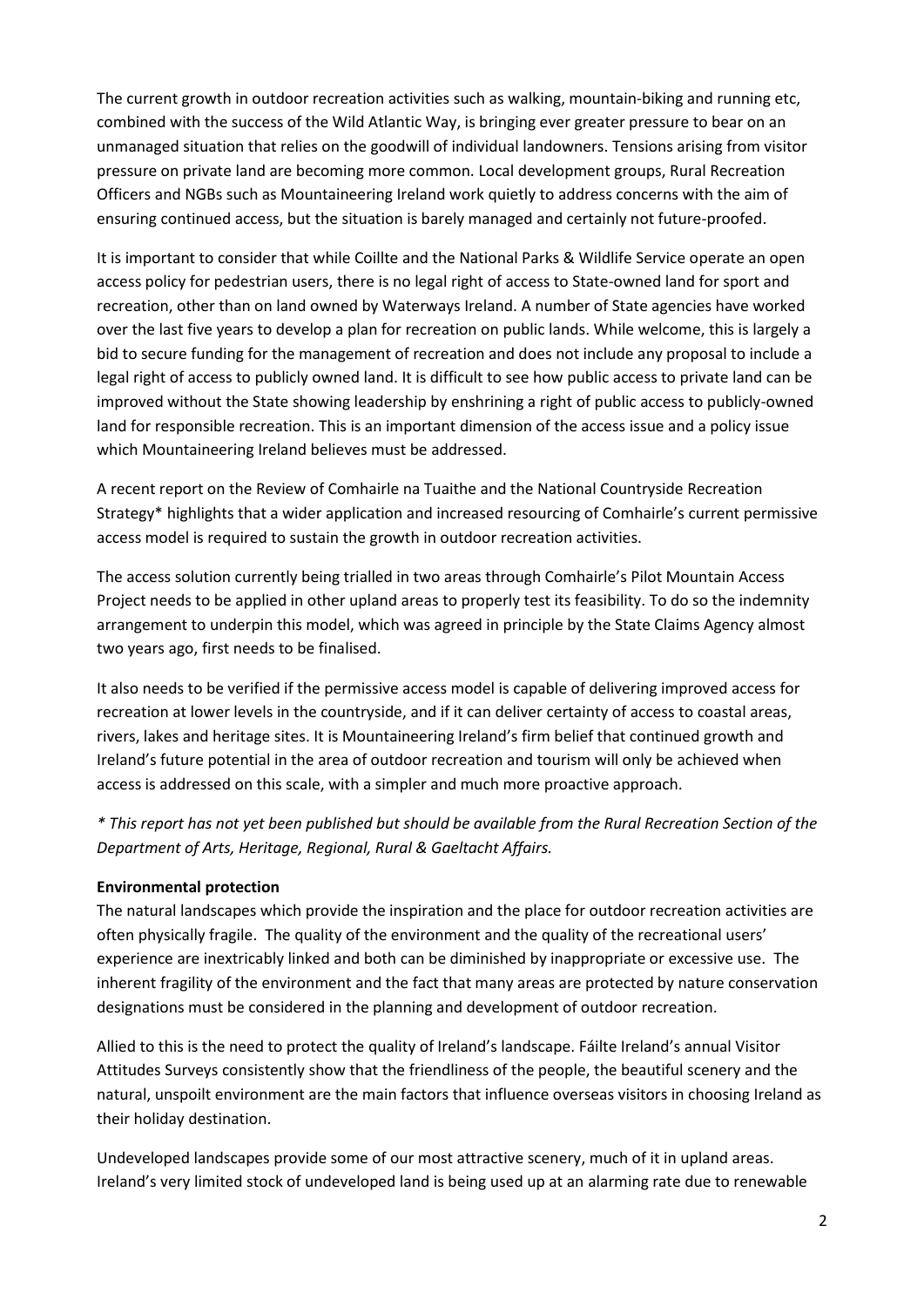The current growth in outdoor recreation activities such as walking, mountain-biking and running etc, combined with the success of the Wild Atlantic Way, is bringing ever greater pressure to bear on an unmanaged situation that relies on the goodwill of individual landowners. Tensions arising from visitor pressure on private land are becoming more common. Local development groups, Rural Recreation Officers and NGBs such as Mountaineering Ireland work quietly to address concerns with the aim of ensuring continued access, but the situation is barely managed and certainly not future-proofed.

It is important to consider that while Coillte and the National Parks & Wildlife Service operate an open access policy for pedestrian users, there is no legal right of access to State-owned land for sport and recreation, other than on land owned by Waterways Ireland. A number of State agencies have worked over the last five years to develop a plan for recreation on public lands. While welcome, this is largely a bid to secure funding for the management of recreation and does not include any proposal to include a legal right of access to publicly owned land. It is difficult to see how public access to private land can be improved without the State showing leadership by enshrining a right of public access to publicly-owned land for responsible recreation. This is an important dimension of the access issue and a policy issue which Mountaineering Ireland believes must be addressed.

A recent report on the Review of Comhairle na Tuaithe and the National Countryside Recreation Strategy\* highlights that a wider application and increased resourcing of Comhairle's current permissive access model is required to sustain the growth in outdoor recreation activities.

The access solution currently being trialled in two areas through Comhairle's Pilot Mountain Access Project needs to be applied in other upland areas to properly test its feasibility. To do so the indemnity arrangement to underpin this model, which was agreed in principle by the State Claims Agency almost two years ago, first needs to be finalised.

It also needs to be verified if the permissive access model is capable of delivering improved access for recreation at lower levels in the countryside, and if it can deliver certainty of access to coastal areas, rivers, lakes and heritage sites. It is Mountaineering Ireland's firm belief that continued growth and Ireland's future potential in the area of outdoor recreation and tourism will only be achieved when access is addressed on this scale, with a simpler and much more proactive approach.

*\* This report has not yet been published but should be available from the Rural Recreation Section of the Department of Arts, Heritage, Regional, Rural & Gaeltacht Affairs.*

#### **Environmental protection**

The natural landscapes which provide the inspiration and the place for outdoor recreation activities are often physically fragile. The quality of the environment and the quality of the recreational users' experience are inextricably linked and both can be diminished by inappropriate or excessive use. The inherent fragility of the environment and the fact that many areas are protected by nature conservation designations must be considered in the planning and development of outdoor recreation.

Allied to this is the need to protect the quality of Ireland's landscape. Fáilte Ireland's annual Visitor Attitudes Surveys consistently show that the friendliness of the people, the beautiful scenery and the natural, unspoilt environment are the main factors that influence overseas visitors in choosing Ireland as their holiday destination.

Undeveloped landscapes provide some of our most attractive scenery, much of it in upland areas. Ireland's very limited stock of undeveloped land is being used up at an alarming rate due to renewable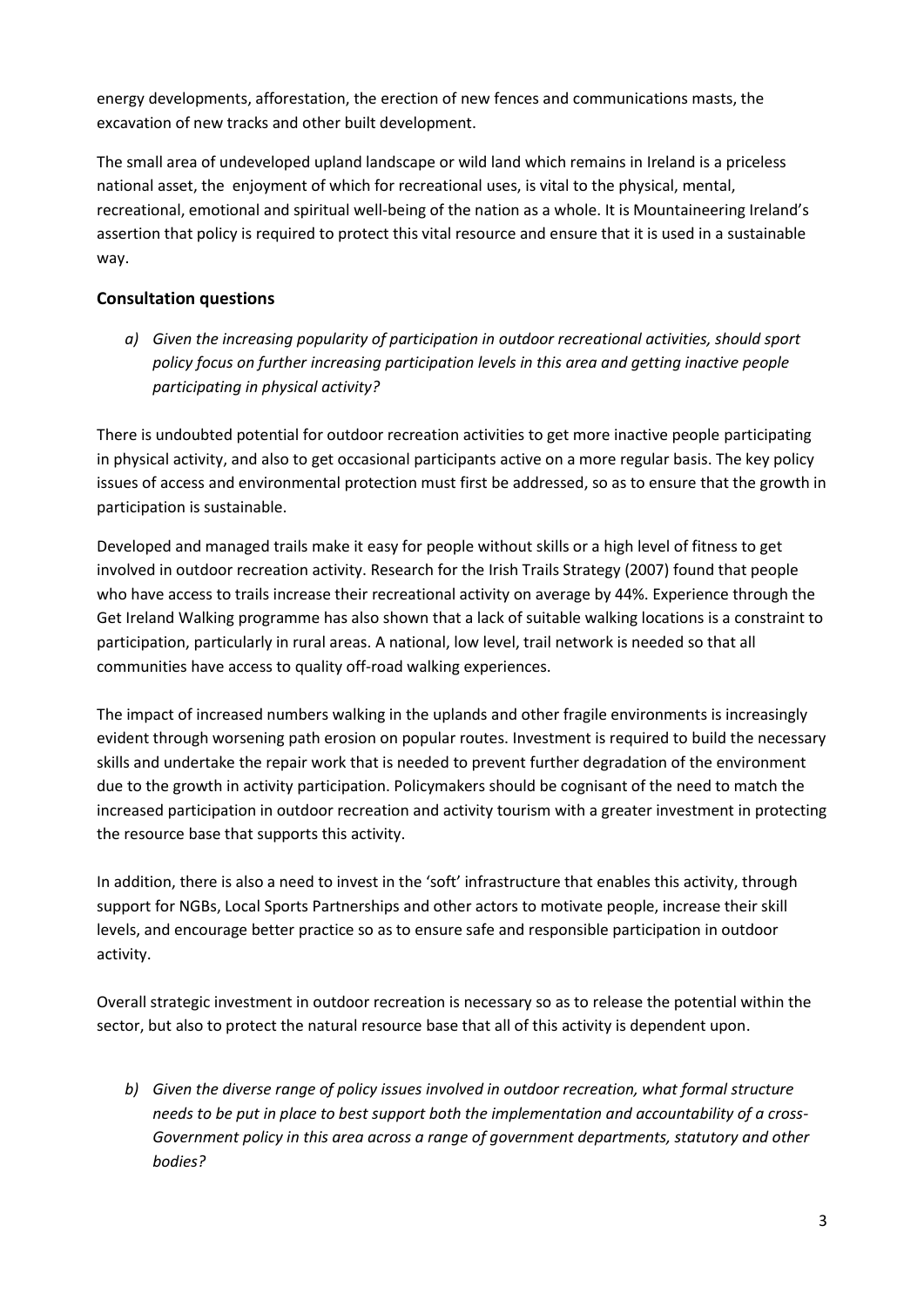energy developments, afforestation, the erection of new fences and communications masts, the excavation of new tracks and other built development.

The small area of undeveloped upland landscape or wild land which remains in Ireland is a priceless national asset, the enjoyment of which for recreational uses, is vital to the physical, mental, recreational, emotional and spiritual well-being of the nation as a whole. It is Mountaineering Ireland's assertion that policy is required to protect this vital resource and ensure that it is used in a sustainable way.

### **Consultation questions**

*a) Given the increasing popularity of participation in outdoor recreational activities, should sport policy focus on further increasing participation levels in this area and getting inactive people participating in physical activity?*

There is undoubted potential for outdoor recreation activities to get more inactive people participating in physical activity, and also to get occasional participants active on a more regular basis. The key policy issues of access and environmental protection must first be addressed, so as to ensure that the growth in participation is sustainable.

Developed and managed trails make it easy for people without skills or a high level of fitness to get involved in outdoor recreation activity. Research for the Irish Trails Strategy (2007) found that people who have access to trails increase their recreational activity on average by 44%. Experience through the Get Ireland Walking programme has also shown that a lack of suitable walking locations is a constraint to participation, particularly in rural areas. A national, low level, trail network is needed so that all communities have access to quality off-road walking experiences.

The impact of increased numbers walking in the uplands and other fragile environments is increasingly evident through worsening path erosion on popular routes. Investment is required to build the necessary skills and undertake the repair work that is needed to prevent further degradation of the environment due to the growth in activity participation. Policymakers should be cognisant of the need to match the increased participation in outdoor recreation and activity tourism with a greater investment in protecting the resource base that supports this activity.

In addition, there is also a need to invest in the 'soft' infrastructure that enables this activity, through support for NGBs, Local Sports Partnerships and other actors to motivate people, increase their skill levels, and encourage better practice so as to ensure safe and responsible participation in outdoor activity.

Overall strategic investment in outdoor recreation is necessary so as to release the potential within the sector, but also to protect the natural resource base that all of this activity is dependent upon.

*b) Given the diverse range of policy issues involved in outdoor recreation, what formal structure needs to be put in place to best support both the implementation and accountability of a cross-Government policy in this area across a range of government departments, statutory and other bodies?*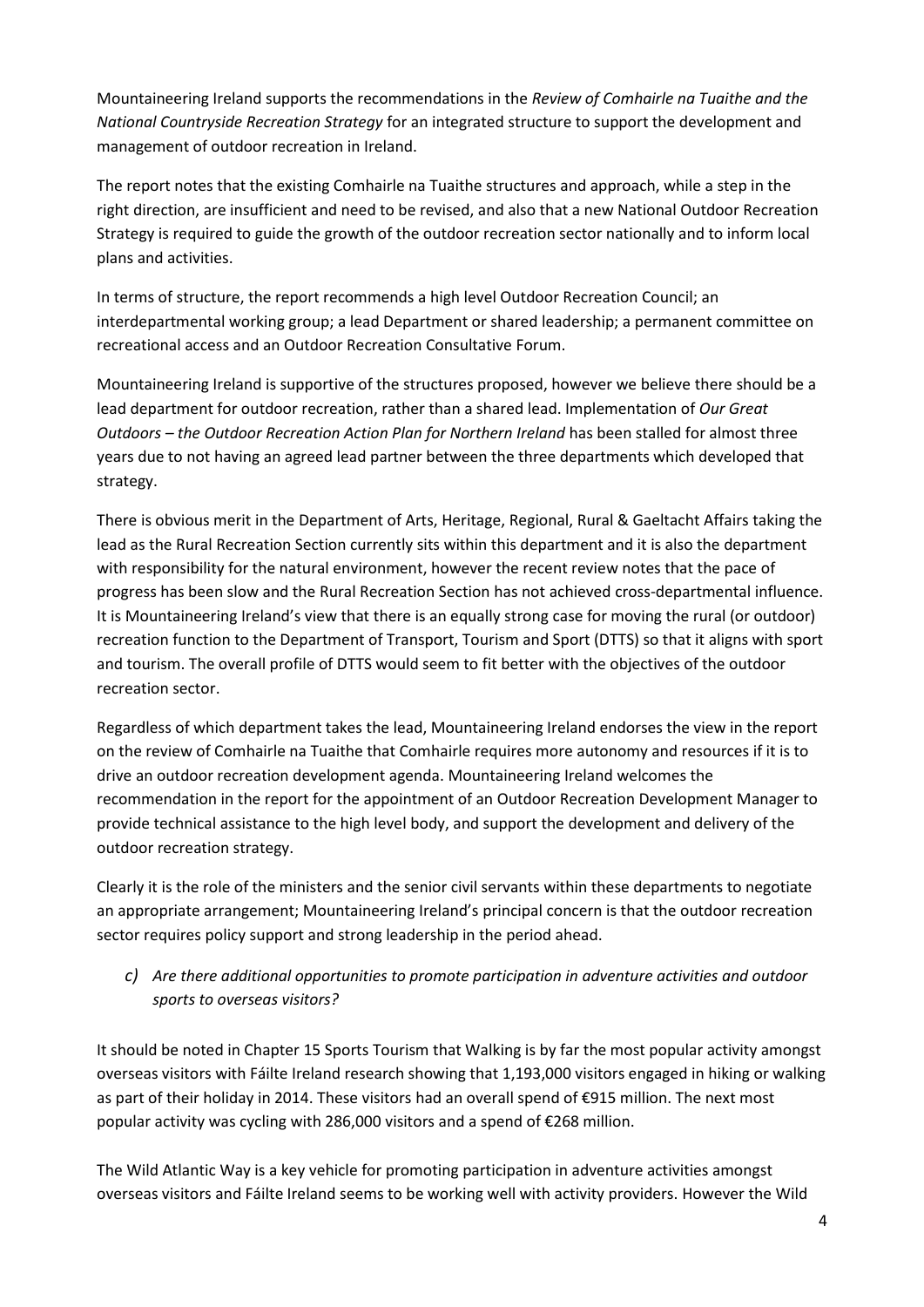Mountaineering Ireland supports the recommendations in the *Review of Comhairle na Tuaithe and the National Countryside Recreation Strategy* for an integrated structure to support the development and management of outdoor recreation in Ireland.

The report notes that the existing Comhairle na Tuaithe structures and approach, while a step in the right direction, are insufficient and need to be revised, and also that a new National Outdoor Recreation Strategy is required to guide the growth of the outdoor recreation sector nationally and to inform local plans and activities.

In terms of structure, the report recommends a high level Outdoor Recreation Council; an interdepartmental working group; a lead Department or shared leadership; a permanent committee on recreational access and an Outdoor Recreation Consultative Forum.

Mountaineering Ireland is supportive of the structures proposed, however we believe there should be a lead department for outdoor recreation, rather than a shared lead. Implementation of *Our Great Outdoors – the Outdoor Recreation Action Plan for Northern Ireland* has been stalled for almost three years due to not having an agreed lead partner between the three departments which developed that strategy.

There is obvious merit in the Department of Arts, Heritage, Regional, Rural & Gaeltacht Affairs taking the lead as the Rural Recreation Section currently sits within this department and it is also the department with responsibility for the natural environment, however the recent review notes that the pace of progress has been slow and the Rural Recreation Section has not achieved cross-departmental influence. It is Mountaineering Ireland's view that there is an equally strong case for moving the rural (or outdoor) recreation function to the Department of Transport, Tourism and Sport (DTTS) so that it aligns with sport and tourism. The overall profile of DTTS would seem to fit better with the objectives of the outdoor recreation sector.

Regardless of which department takes the lead, Mountaineering Ireland endorses the view in the report on the review of Comhairle na Tuaithe that Comhairle requires more autonomy and resources if it is to drive an outdoor recreation development agenda. Mountaineering Ireland welcomes the recommendation in the report for the appointment of an Outdoor Recreation Development Manager to provide technical assistance to the high level body, and support the development and delivery of the outdoor recreation strategy.

Clearly it is the role of the ministers and the senior civil servants within these departments to negotiate an appropriate arrangement; Mountaineering Ireland's principal concern is that the outdoor recreation sector requires policy support and strong leadership in the period ahead.

## *c) Are there additional opportunities to promote participation in adventure activities and outdoor sports to overseas visitors?*

It should be noted in Chapter 15 Sports Tourism that Walking is by far the most popular activity amongst overseas visitors with Fáilte Ireland research showing that 1,193,000 visitors engaged in hiking or walking as part of their holiday in 2014. These visitors had an overall spend of €915 million. The next most popular activity was cycling with 286,000 visitors and a spend of €268 million.

The Wild Atlantic Way is a key vehicle for promoting participation in adventure activities amongst overseas visitors and Fáilte Ireland seems to be working well with activity providers. However the Wild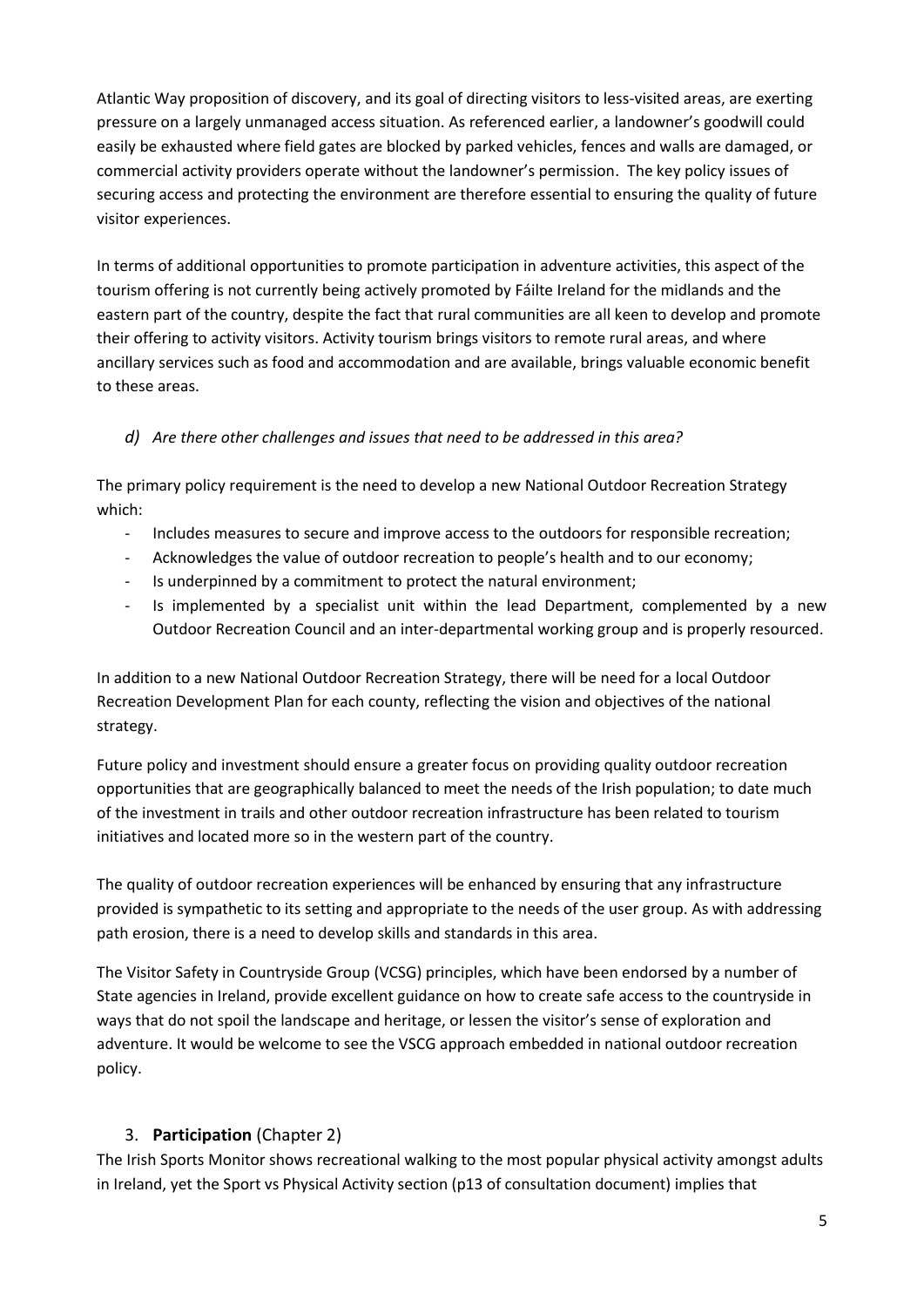Atlantic Way proposition of discovery, and its goal of directing visitors to less-visited areas, are exerting pressure on a largely unmanaged access situation. As referenced earlier, a landowner's goodwill could easily be exhausted where field gates are blocked by parked vehicles, fences and walls are damaged, or commercial activity providers operate without the landowner's permission. The key policy issues of securing access and protecting the environment are therefore essential to ensuring the quality of future visitor experiences.

In terms of additional opportunities to promote participation in adventure activities, this aspect of the tourism offering is not currently being actively promoted by Fáilte Ireland for the midlands and the eastern part of the country, despite the fact that rural communities are all keen to develop and promote their offering to activity visitors. Activity tourism brings visitors to remote rural areas, and where ancillary services such as food and accommodation and are available, brings valuable economic benefit to these areas.

### *d) Are there other challenges and issues that need to be addressed in this area?*

The primary policy requirement is the need to develop a new National Outdoor Recreation Strategy which:

- Includes measures to secure and improve access to the outdoors for responsible recreation;
- Acknowledges the value of outdoor recreation to people's health and to our economy;
- Is underpinned by a commitment to protect the natural environment;
- Is implemented by a specialist unit within the lead Department, complemented by a new Outdoor Recreation Council and an inter-departmental working group and is properly resourced.

In addition to a new National Outdoor Recreation Strategy, there will be need for a local Outdoor Recreation Development Plan for each county, reflecting the vision and objectives of the national strategy.

Future policy and investment should ensure a greater focus on providing quality outdoor recreation opportunities that are geographically balanced to meet the needs of the Irish population; to date much of the investment in trails and other outdoor recreation infrastructure has been related to tourism initiatives and located more so in the western part of the country.

The quality of outdoor recreation experiences will be enhanced by ensuring that any infrastructure provided is sympathetic to its setting and appropriate to the needs of the user group. As with addressing path erosion, there is a need to develop skills and standards in this area.

The Visitor Safety in Countryside Group (VCSG) principles, which have been endorsed by a number of State agencies in Ireland, provide excellent guidance on how to create safe access to the countryside in ways that do not spoil the landscape and heritage, or lessen the visitor's sense of exploration and adventure. It would be welcome to see the VSCG approach embedded in national outdoor recreation policy.

### 3. **Participation** (Chapter 2)

The Irish Sports Monitor shows recreational walking to the most popular physical activity amongst adults in Ireland, yet the Sport vs Physical Activity section (p13 of consultation document) implies that